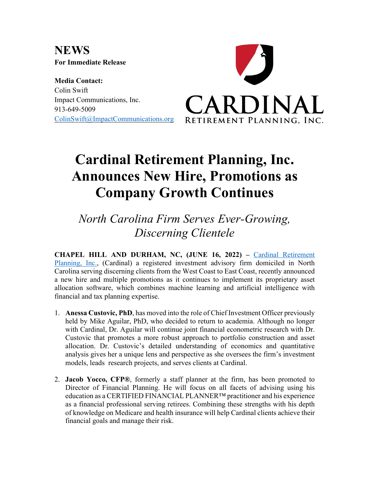**NEWS For Immediate Release**

**Media Contact:** Colin Swift Impact Communications, Inc. 913-649-5009 ColinSwift@ImpactCommunications.org



## **Cardinal Retirement Planning, Inc. Announces New Hire, Promotions as Company Growth Continues**

*North Carolina Firm Serves Ever-Growing, Discerning Clientele*

**CHAPEL HILL AND DURHAM, NC, (JUNE 16, 2022) –** Cardinal Retirement Planning, Inc., (Cardinal) a registered investment advisory firm domiciled in North Carolina serving discerning clients from the West Coast to East Coast, recently announced a new hire and multiple promotions as it continues to implement its proprietary asset allocation software, which combines machine learning and artificial intelligence with financial and tax planning expertise.

- 1. **Anessa Custovic, PhD**, has moved into the role of Chief Investment Officer previously held by Mike Aguilar, PhD, who decided to return to academia. Although no longer with Cardinal, Dr. Aguilar will continue joint financial econometric research with Dr. Custovic that promotes a more robust approach to portfolio construction and asset allocation. Dr. Custovic's detailed understanding of economics and quantitative analysis gives her a unique lens and perspective as she oversees the firm's investment models, leads research projects, and serves clients at Cardinal.
- 2. **Jacob Yocco, CFP®**, formerly a staff planner at the firm, has been promoted to Director of Financial Planning. He will focus on all facets of advising using his education as a CERTIFIED FINANCIAL PLANNER™ practitioner and his experience as a financial professional serving retirees. Combining these strengths with his depth of knowledge on Medicare and health insurance will help Cardinal clients achieve their financial goals and manage their risk.